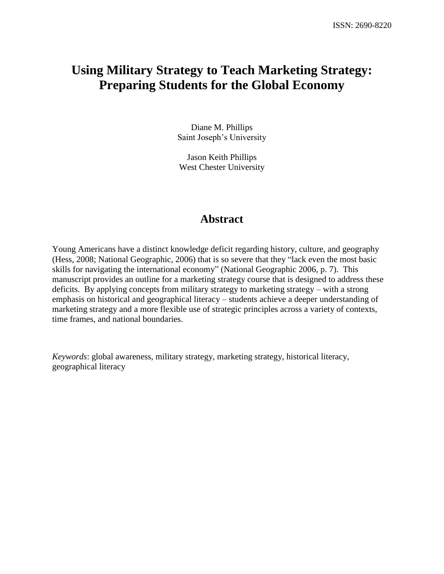# **Using Military Strategy to Teach Marketing Strategy: Preparing Students for the Global Economy**

Diane M. Phillips Saint Joseph's University

Jason Keith Phillips West Chester University

## **Abstract**

Young Americans have a distinct knowledge deficit regarding history, culture, and geography (Hess, 2008; National Geographic, 2006) that is so severe that they "lack even the most basic skills for navigating the international economy" (National Geographic 2006, p. 7). This manuscript provides an outline for a marketing strategy course that is designed to address these deficits. By applying concepts from military strategy to marketing strategy – with a strong emphasis on historical and geographical literacy – students achieve a deeper understanding of marketing strategy and a more flexible use of strategic principles across a variety of contexts, time frames, and national boundaries.

*Keywords*: global awareness, military strategy, marketing strategy, historical literacy, geographical literacy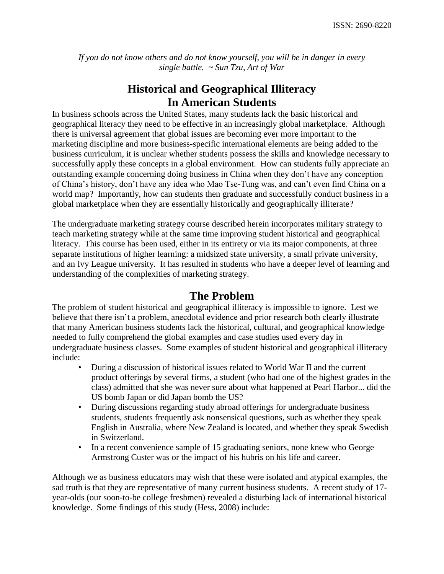*If you do not know others and do not know yourself, you will be in danger in every single battle. ~ Sun Tzu, Art of War*

# **Historical and Geographical Illiteracy In American Students**

In business schools across the United States, many students lack the basic historical and geographical literacy they need to be effective in an increasingly global marketplace. Although there is universal agreement that global issues are becoming ever more important to the marketing discipline and more business-specific international elements are being added to the business curriculum, it is unclear whether students possess the skills and knowledge necessary to successfully apply these concepts in a global environment. How can students fully appreciate an outstanding example concerning doing business in China when they don't have any conception of China's history, don't have any idea who Mao Tse-Tung was, and can't even find China on a world map? Importantly, how can students then graduate and successfully conduct business in a global marketplace when they are essentially historically and geographically illiterate?

The undergraduate marketing strategy course described herein incorporates military strategy to teach marketing strategy while at the same time improving student historical and geographical literacy. This course has been used, either in its entirety or via its major components, at three separate institutions of higher learning: a midsized state university, a small private university, and an Ivy League university. It has resulted in students who have a deeper level of learning and understanding of the complexities of marketing strategy.

## **The Problem**

The problem of student historical and geographical illiteracy is impossible to ignore. Lest we believe that there isn't a problem, anecdotal evidence and prior research both clearly illustrate that many American business students lack the historical, cultural, and geographical knowledge needed to fully comprehend the global examples and case studies used every day in undergraduate business classes. Some examples of student historical and geographical illiteracy include:

- During a discussion of historical issues related to World War II and the current product offerings by several firms, a student (who had one of the highest grades in the class) admitted that she was never sure about what happened at Pearl Harbor... did the US bomb Japan or did Japan bomb the US?
- During discussions regarding study abroad offerings for undergraduate business students, students frequently ask nonsensical questions, such as whether they speak English in Australia, where New Zealand is located, and whether they speak Swedish in Switzerland.
- In a recent convenience sample of 15 graduating seniors, none knew who George Armstrong Custer was or the impact of his hubris on his life and career.

Although we as business educators may wish that these were isolated and atypical examples, the sad truth is that they are representative of many current business students. A recent study of 17 year-olds (our soon-to-be college freshmen) revealed a disturbing lack of international historical knowledge. Some findings of this study (Hess, 2008) include: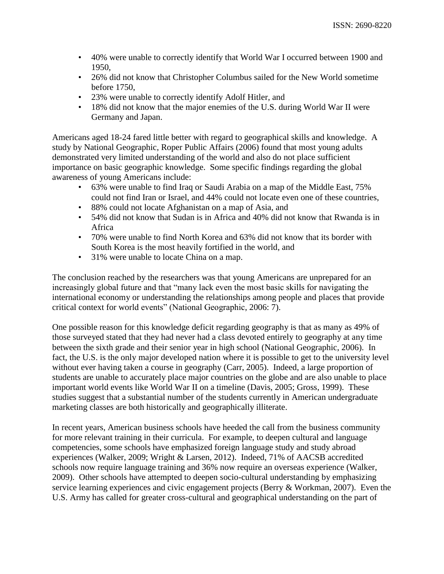- 40% were unable to correctly identify that World War I occurred between 1900 and 1950,
- 26% did not know that Christopher Columbus sailed for the New World sometime before 1750,
- 23% were unable to correctly identify Adolf Hitler, and
- 18% did not know that the major enemies of the U.S. during World War II were Germany and Japan.

Americans aged 18-24 fared little better with regard to geographical skills and knowledge. A study by National Geographic, Roper Public Affairs (2006) found that most young adults demonstrated very limited understanding of the world and also do not place sufficient importance on basic geographic knowledge. Some specific findings regarding the global awareness of young Americans include:

- 63% were unable to find Iraq or Saudi Arabia on a map of the Middle East, 75% could not find Iran or Israel, and 44% could not locate even one of these countries,
- 88% could not locate Afghanistan on a map of Asia, and
- 54% did not know that Sudan is in Africa and 40% did not know that Rwanda is in Africa
- 70% were unable to find North Korea and 63% did not know that its border with South Korea is the most heavily fortified in the world, and
- 31% were unable to locate China on a map.

The conclusion reached by the researchers was that young Americans are unprepared for an increasingly global future and that "many lack even the most basic skills for navigating the international economy or understanding the relationships among people and places that provide critical context for world events" (National Geographic, 2006: 7).

One possible reason for this knowledge deficit regarding geography is that as many as 49% of those surveyed stated that they had never had a class devoted entirely to geography at any time between the sixth grade and their senior year in high school (National Geographic, 2006). In fact, the U.S. is the only major developed nation where it is possible to get to the university level without ever having taken a course in geography (Carr, 2005). Indeed, a large proportion of students are unable to accurately place major countries on the globe and are also unable to place important world events like World War II on a timeline (Davis, 2005; Gross, 1999). These studies suggest that a substantial number of the students currently in American undergraduate marketing classes are both historically and geographically illiterate.

In recent years, American business schools have heeded the call from the business community for more relevant training in their curricula. For example, to deepen cultural and language competencies, some schools have emphasized foreign language study and study abroad experiences (Walker, 2009; Wright & Larsen, 2012). Indeed, 71% of AACSB accredited schools now require language training and 36% now require an overseas experience (Walker, 2009). Other schools have attempted to deepen socio-cultural understanding by emphasizing service learning experiences and civic engagement projects (Berry & Workman, 2007). Even the U.S. Army has called for greater cross-cultural and geographical understanding on the part of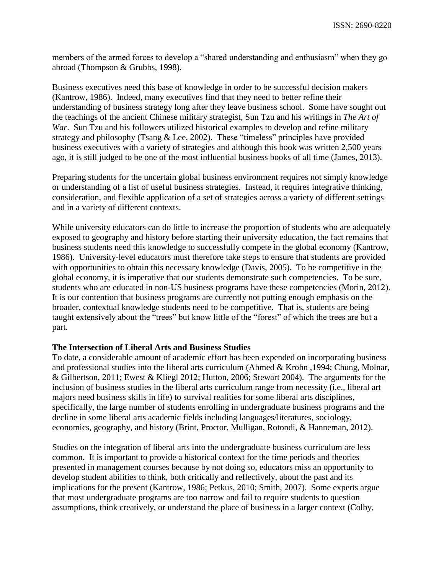members of the armed forces to develop a "shared understanding and enthusiasm" when they go abroad (Thompson & Grubbs, 1998).

Business executives need this base of knowledge in order to be successful decision makers (Kantrow, 1986). Indeed, many executives find that they need to better refine their understanding of business strategy long after they leave business school. Some have sought out the teachings of the ancient Chinese military strategist, Sun Tzu and his writings in *The Art of War*. Sun Tzu and his followers utilized historical examples to develop and refine military strategy and philosophy (Tsang & Lee, 2002). These "timeless" principles have provided business executives with a variety of strategies and although this book was written 2,500 years ago, it is still judged to be one of the most influential business books of all time (James, 2013).

Preparing students for the uncertain global business environment requires not simply knowledge or understanding of a list of useful business strategies. Instead, it requires integrative thinking, consideration, and flexible application of a set of strategies across a variety of different settings and in a variety of different contexts.

While university educators can do little to increase the proportion of students who are adequately exposed to geography and history before starting their university education, the fact remains that business students need this knowledge to successfully compete in the global economy (Kantrow, 1986). University-level educators must therefore take steps to ensure that students are provided with opportunities to obtain this necessary knowledge (Davis, 2005). To be competitive in the global economy, it is imperative that our students demonstrate such competencies. To be sure, students who are educated in non-US business programs have these competencies (Morin, 2012). It is our contention that business programs are currently not putting enough emphasis on the broader, contextual knowledge students need to be competitive. That is, students are being taught extensively about the "trees" but know little of the "forest" of which the trees are but a part.

### **The Intersection of Liberal Arts and Business Studies**

To date, a considerable amount of academic effort has been expended on incorporating business and professional studies into the liberal arts curriculum (Ahmed & Krohn ,1994; Chung, Molnar, & Gilbertson, 2011; Ewest & Kliegl 2012; Hutton, 2006; Stewart 2004). The arguments for the inclusion of business studies in the liberal arts curriculum range from necessity (i.e., liberal art majors need business skills in life) to survival realities for some liberal arts disciplines, specifically, the large number of students enrolling in undergraduate business programs and the decline in some liberal arts academic fields including languages/literatures, sociology, economics, geography, and history (Brint, Proctor, Mulligan, Rotondi, & Hanneman, 2012).

Studies on the integration of liberal arts into the undergraduate business curriculum are less common. It is important to provide a historical context for the time periods and theories presented in management courses because by not doing so, educators miss an opportunity to develop student abilities to think, both critically and reflectively, about the past and its implications for the present (Kantrow, 1986; Petkus, 2010; Smith, 2007). Some experts argue that most undergraduate programs are too narrow and fail to require students to question assumptions, think creatively, or understand the place of business in a larger context (Colby,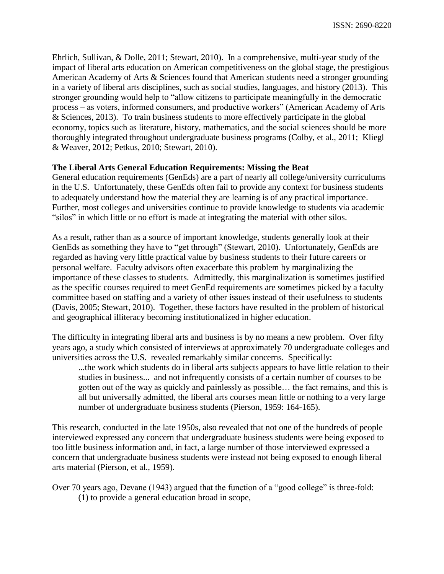Ehrlich, Sullivan, & Dolle, 2011; Stewart, 2010). In a comprehensive, multi-year study of the impact of liberal arts education on American competitiveness on the global stage, the prestigious American Academy of Arts & Sciences found that American students need a stronger grounding in a variety of liberal arts disciplines, such as social studies, languages, and history (2013). This stronger grounding would help to "allow citizens to participate meaningfully in the democratic process – as voters, informed consumers, and productive workers" (American Academy of Arts & Sciences, 2013). To train business students to more effectively participate in the global economy, topics such as literature, history, mathematics, and the social sciences should be more thoroughly integrated throughout undergraduate business programs (Colby, et al., 2011; Kliegl & Weaver, 2012; Petkus, 2010; Stewart, 2010).

## **The Liberal Arts General Education Requirements: Missing the Beat**

General education requirements (GenEds) are a part of nearly all college/university curriculums in the U.S. Unfortunately, these GenEds often fail to provide any context for business students to adequately understand how the material they are learning is of any practical importance. Further, most colleges and universities continue to provide knowledge to students via academic "silos" in which little or no effort is made at integrating the material with other silos.

As a result, rather than as a source of important knowledge, students generally look at their GenEds as something they have to "get through" (Stewart, 2010). Unfortunately, GenEds are regarded as having very little practical value by business students to their future careers or personal welfare. Faculty advisors often exacerbate this problem by marginalizing the importance of these classes to students. Admittedly, this marginalization is sometimes justified as the specific courses required to meet GenEd requirements are sometimes picked by a faculty committee based on staffing and a variety of other issues instead of their usefulness to students (Davis, 2005; Stewart, 2010). Together, these factors have resulted in the problem of historical and geographical illiteracy becoming institutionalized in higher education.

The difficulty in integrating liberal arts and business is by no means a new problem. Over fifty years ago, a study which consisted of interviews at approximately 70 undergraduate colleges and universities across the U.S. revealed remarkably similar concerns. Specifically:

...the work which students do in liberal arts subjects appears to have little relation to their studies in business... and not infrequently consists of a certain number of courses to be gotten out of the way as quickly and painlessly as possible… the fact remains, and this is all but universally admitted, the liberal arts courses mean little or nothing to a very large number of undergraduate business students (Pierson, 1959: 164-165).

This research, conducted in the late 1950s, also revealed that not one of the hundreds of people interviewed expressed any concern that undergraduate business students were being exposed to too little business information and, in fact, a large number of those interviewed expressed a concern that undergraduate business students were instead not being exposed to enough liberal arts material (Pierson, et al., 1959).

Over 70 years ago, Devane (1943) argued that the function of a "good college" is three-fold: (1) to provide a general education broad in scope,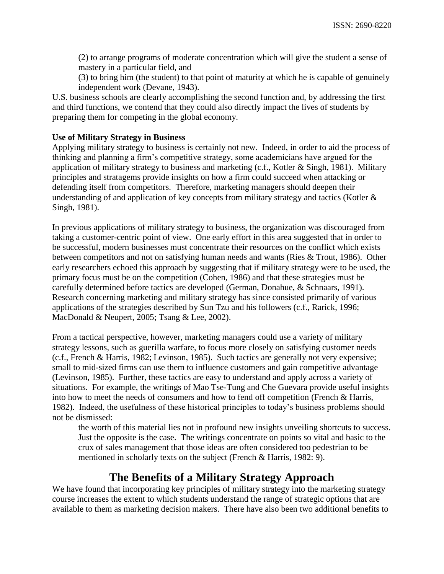(2) to arrange programs of moderate concentration which will give the student a sense of mastery in a particular field, and

(3) to bring him (the student) to that point of maturity at which he is capable of genuinely independent work (Devane, 1943).

U.S. business schools are clearly accomplishing the second function and, by addressing the first and third functions, we contend that they could also directly impact the lives of students by preparing them for competing in the global economy.

### **Use of Military Strategy in Business**

Applying military strategy to business is certainly not new. Indeed, in order to aid the process of thinking and planning a firm's competitive strategy, some academicians have argued for the application of military strategy to business and marketing (c.f., Kotler & Singh, 1981). Military principles and stratagems provide insights on how a firm could succeed when attacking or defending itself from competitors. Therefore, marketing managers should deepen their understanding of and application of key concepts from military strategy and tactics (Kotler  $\&$ Singh, 1981).

In previous applications of military strategy to business, the organization was discouraged from taking a customer-centric point of view. One early effort in this area suggested that in order to be successful, modern businesses must concentrate their resources on the conflict which exists between competitors and not on satisfying human needs and wants (Ries & Trout, 1986). Other early researchers echoed this approach by suggesting that if military strategy were to be used, the primary focus must be on the competition (Cohen, 1986) and that these strategies must be carefully determined before tactics are developed (German, Donahue, & Schnaars, 1991). Research concerning marketing and military strategy has since consisted primarily of various applications of the strategies described by Sun Tzu and his followers (c.f., Rarick, 1996; MacDonald & Neupert, 2005; Tsang & Lee, 2002).

From a tactical perspective, however, marketing managers could use a variety of military strategy lessons, such as guerilla warfare, to focus more closely on satisfying customer needs (c.f., French & Harris, 1982; Levinson, 1985). Such tactics are generally not very expensive; small to mid-sized firms can use them to influence customers and gain competitive advantage (Levinson, 1985). Further, these tactics are easy to understand and apply across a variety of situations. For example, the writings of Mao Tse-Tung and Che Guevara provide useful insights into how to meet the needs of consumers and how to fend off competition (French & Harris, 1982). Indeed, the usefulness of these historical principles to today's business problems should not be dismissed:

the worth of this material lies not in profound new insights unveiling shortcuts to success. Just the opposite is the case. The writings concentrate on points so vital and basic to the crux of sales management that those ideas are often considered too pedestrian to be mentioned in scholarly texts on the subject (French & Harris, 1982: 9).

## **The Benefits of a Military Strategy Approach**

We have found that incorporating key principles of military strategy into the marketing strategy course increases the extent to which students understand the range of strategic options that are available to them as marketing decision makers. There have also been two additional benefits to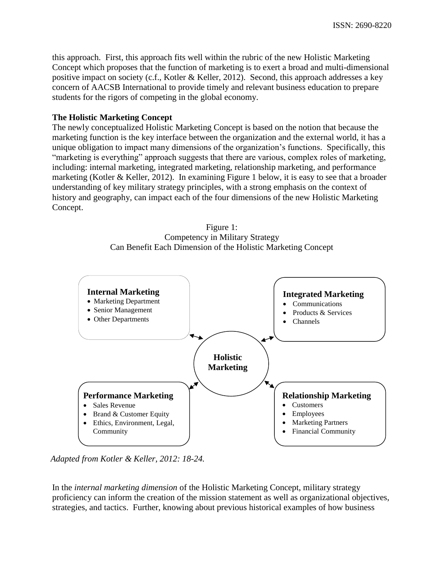this approach. First, this approach fits well within the rubric of the new Holistic Marketing Concept which proposes that the function of marketing is to exert a broad and multi-dimensional positive impact on society (c.f., Kotler & Keller, 2012). Second, this approach addresses a key concern of AACSB International to provide timely and relevant business education to prepare students for the rigors of competing in the global economy.

### **The Holistic Marketing Concept**

The newly conceptualized Holistic Marketing Concept is based on the notion that because the marketing function is the key interface between the organization and the external world, it has a unique obligation to impact many dimensions of the organization's functions. Specifically, this "marketing is everything" approach suggests that there are various, complex roles of marketing, including: internal marketing, integrated marketing, relationship marketing, and performance marketing (Kotler & Keller, 2012). In examining Figure 1 below, it is easy to see that a broader understanding of key military strategy principles, with a strong emphasis on the context of history and geography, can impact each of the four dimensions of the new Holistic Marketing Concept.





*Adapted from Kotler & Keller, 2012: 18-24.*

In the *internal marketing dimension* of the Holistic Marketing Concept, military strategy proficiency can inform the creation of the mission statement as well as organizational objectives, strategies, and tactics. Further, knowing about previous historical examples of how business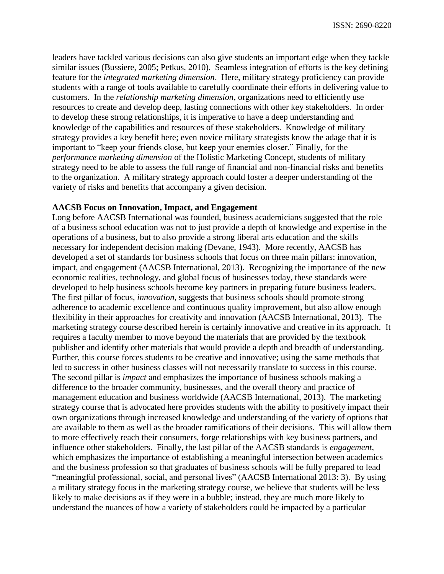leaders have tackled various decisions can also give students an important edge when they tackle similar issues (Bussiere, 2005; Petkus, 2010). Seamless integration of efforts is the key defining feature for the *integrated marketing dimension*. Here, military strategy proficiency can provide students with a range of tools available to carefully coordinate their efforts in delivering value to customers. In the *relationship marketing dimension*, organizations need to efficiently use resources to create and develop deep, lasting connections with other key stakeholders. In order to develop these strong relationships, it is imperative to have a deep understanding and knowledge of the capabilities and resources of these stakeholders. Knowledge of military strategy provides a key benefit here; even novice military strategists know the adage that it is important to "keep your friends close, but keep your enemies closer." Finally, for the *performance marketing dimension* of the Holistic Marketing Concept, students of military strategy need to be able to assess the full range of financial and non-financial risks and benefits to the organization. A military strategy approach could foster a deeper understanding of the variety of risks and benefits that accompany a given decision.

#### **AACSB Focus on Innovation, Impact, and Engagement**

Long before AACSB International was founded, business academicians suggested that the role of a business school education was not to just provide a depth of knowledge and expertise in the operations of a business, but to also provide a strong liberal arts education and the skills necessary for independent decision making (Devane, 1943). More recently, AACSB has developed a set of standards for business schools that focus on three main pillars: innovation, impact, and engagement (AACSB International, 2013). Recognizing the importance of the new economic realities, technology, and global focus of businesses today, these standards were developed to help business schools become key partners in preparing future business leaders. The first pillar of focus, *innovation*, suggests that business schools should promote strong adherence to academic excellence and continuous quality improvement, but also allow enough flexibility in their approaches for creativity and innovation (AACSB International, 2013). The marketing strategy course described herein is certainly innovative and creative in its approach. It requires a faculty member to move beyond the materials that are provided by the textbook publisher and identify other materials that would provide a depth and breadth of understanding. Further, this course forces students to be creative and innovative; using the same methods that led to success in other business classes will not necessarily translate to success in this course. The second pillar is *impact* and emphasizes the importance of business schools making a difference to the broader community, businesses, and the overall theory and practice of management education and business worldwide (AACSB International, 2013). The marketing strategy course that is advocated here provides students with the ability to positively impact their own organizations through increased knowledge and understanding of the variety of options that are available to them as well as the broader ramifications of their decisions. This will allow them to more effectively reach their consumers, forge relationships with key business partners, and influence other stakeholders. Finally, the last pillar of the AACSB standards is *engagement*, which emphasizes the importance of establishing a meaningful intersection between academics and the business profession so that graduates of business schools will be fully prepared to lead "meaningful professional, social, and personal lives" (AACSB International 2013: 3). By using a military strategy focus in the marketing strategy course, we believe that students will be less likely to make decisions as if they were in a bubble; instead, they are much more likely to understand the nuances of how a variety of stakeholders could be impacted by a particular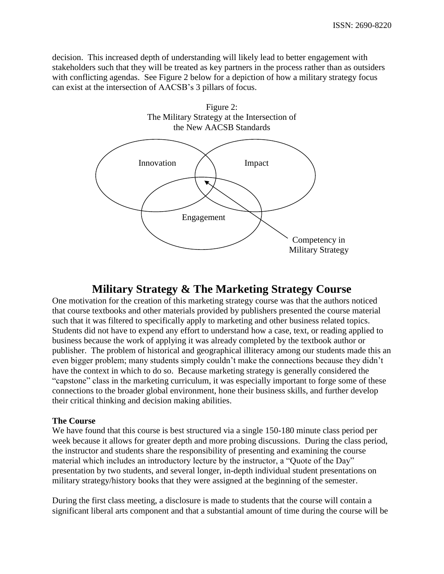decision. This increased depth of understanding will likely lead to better engagement with stakeholders such that they will be treated as key partners in the process rather than as outsiders with conflicting agendas. See Figure 2 below for a depiction of how a military strategy focus can exist at the intersection of AACSB's 3 pillars of focus.



## **Military Strategy & The Marketing Strategy Course**

One motivation for the creation of this marketing strategy course was that the authors noticed that course textbooks and other materials provided by publishers presented the course material such that it was filtered to specifically apply to marketing and other business related topics. Students did not have to expend any effort to understand how a case, text, or reading applied to business because the work of applying it was already completed by the textbook author or publisher. The problem of historical and geographical illiteracy among our students made this an even bigger problem; many students simply couldn't make the connections because they didn't have the context in which to do so. Because marketing strategy is generally considered the "capstone" class in the marketing curriculum, it was especially important to forge some of these connections to the broader global environment, hone their business skills, and further develop their critical thinking and decision making abilities.

## **The Course**

We have found that this course is best structured via a single 150-180 minute class period per week because it allows for greater depth and more probing discussions. During the class period, the instructor and students share the responsibility of presenting and examining the course material which includes an introductory lecture by the instructor, a "Quote of the Day" presentation by two students, and several longer, in-depth individual student presentations on military strategy/history books that they were assigned at the beginning of the semester.

During the first class meeting, a disclosure is made to students that the course will contain a significant liberal arts component and that a substantial amount of time during the course will be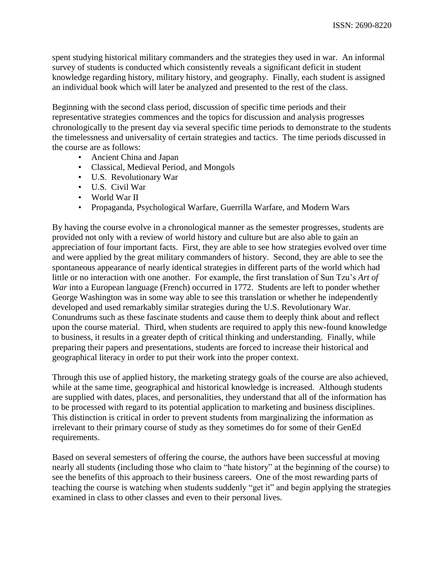spent studying historical military commanders and the strategies they used in war. An informal survey of students is conducted which consistently reveals a significant deficit in student knowledge regarding history, military history, and geography. Finally, each student is assigned an individual book which will later be analyzed and presented to the rest of the class.

Beginning with the second class period, discussion of specific time periods and their representative strategies commences and the topics for discussion and analysis progresses chronologically to the present day via several specific time periods to demonstrate to the students the timelessness and universality of certain strategies and tactics. The time periods discussed in the course are as follows:

- Ancient China and Japan
- Classical, Medieval Period, and Mongols
- U.S. Revolutionary War
- U.S. Civil War
- World War II
- Propaganda, Psychological Warfare, Guerrilla Warfare, and Modern Wars

By having the course evolve in a chronological manner as the semester progresses, students are provided not only with a review of world history and culture but are also able to gain an appreciation of four important facts. First, they are able to see how strategies evolved over time and were applied by the great military commanders of history. Second, they are able to see the spontaneous appearance of nearly identical strategies in different parts of the world which had little or no interaction with one another. For example, the first translation of Sun Tzu's *Art of War* into a European language (French) occurred in 1772. Students are left to ponder whether George Washington was in some way able to see this translation or whether he independently developed and used remarkably similar strategies during the U.S. Revolutionary War. Conundrums such as these fascinate students and cause them to deeply think about and reflect upon the course material. Third, when students are required to apply this new-found knowledge to business, it results in a greater depth of critical thinking and understanding. Finally, while preparing their papers and presentations, students are forced to increase their historical and geographical literacy in order to put their work into the proper context.

Through this use of applied history, the marketing strategy goals of the course are also achieved, while at the same time, geographical and historical knowledge is increased. Although students are supplied with dates, places, and personalities, they understand that all of the information has to be processed with regard to its potential application to marketing and business disciplines. This distinction is critical in order to prevent students from marginalizing the information as irrelevant to their primary course of study as they sometimes do for some of their GenEd requirements.

Based on several semesters of offering the course, the authors have been successful at moving nearly all students (including those who claim to "hate history" at the beginning of the course) to see the benefits of this approach to their business careers. One of the most rewarding parts of teaching the course is watching when students suddenly "get it" and begin applying the strategies examined in class to other classes and even to their personal lives.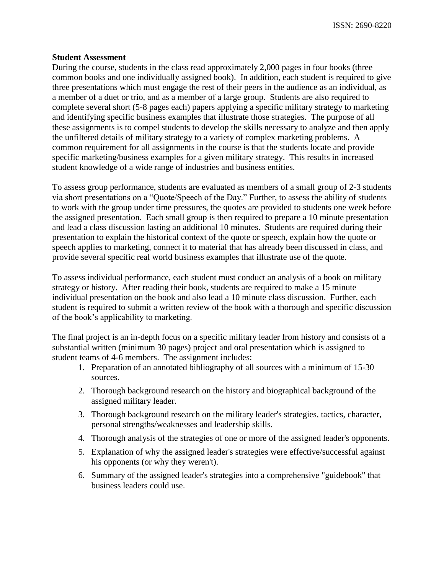### **Student Assessment**

During the course, students in the class read approximately 2,000 pages in four books (three common books and one individually assigned book). In addition, each student is required to give three presentations which must engage the rest of their peers in the audience as an individual, as a member of a duet or trio, and as a member of a large group. Students are also required to complete several short (5-8 pages each) papers applying a specific military strategy to marketing and identifying specific business examples that illustrate those strategies. The purpose of all these assignments is to compel students to develop the skills necessary to analyze and then apply the unfiltered details of military strategy to a variety of complex marketing problems. A common requirement for all assignments in the course is that the students locate and provide specific marketing/business examples for a given military strategy. This results in increased student knowledge of a wide range of industries and business entities.

To assess group performance, students are evaluated as members of a small group of 2-3 students via short presentations on a "Quote/Speech of the Day." Further, to assess the ability of students to work with the group under time pressures, the quotes are provided to students one week before the assigned presentation. Each small group is then required to prepare a 10 minute presentation and lead a class discussion lasting an additional 10 minutes. Students are required during their presentation to explain the historical context of the quote or speech, explain how the quote or speech applies to marketing, connect it to material that has already been discussed in class, and provide several specific real world business examples that illustrate use of the quote.

To assess individual performance, each student must conduct an analysis of a book on military strategy or history. After reading their book, students are required to make a 15 minute individual presentation on the book and also lead a 10 minute class discussion. Further, each student is required to submit a written review of the book with a thorough and specific discussion of the book's applicability to marketing.

The final project is an in-depth focus on a specific military leader from history and consists of a substantial written (minimum 30 pages) project and oral presentation which is assigned to student teams of 4-6 members. The assignment includes:

- 1. Preparation of an annotated bibliography of all sources with a minimum of 15-30 sources.
- 2. Thorough background research on the history and biographical background of the assigned military leader.
- 3. Thorough background research on the military leader's strategies, tactics, character, personal strengths/weaknesses and leadership skills.
- 4. Thorough analysis of the strategies of one or more of the assigned leader's opponents.
- 5. Explanation of why the assigned leader's strategies were effective/successful against his opponents (or why they weren't).
- 6. Summary of the assigned leader's strategies into a comprehensive "guidebook" that business leaders could use.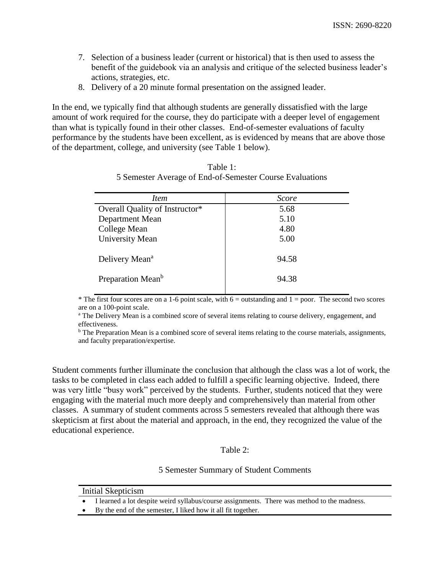- 7. Selection of a business leader (current or historical) that is then used to assess the benefit of the guidebook via an analysis and critique of the selected business leader's actions, strategies, etc.
- 8. Delivery of a 20 minute formal presentation on the assigned leader.

In the end, we typically find that although students are generally dissatisfied with the large amount of work required for the course, they do participate with a deeper level of engagement than what is typically found in their other classes. End-of-semester evaluations of faculty performance by the students have been excellent, as is evidenced by means that are above those of the department, college, and university (see Table 1 below).

| Table 1:                                                 |
|----------------------------------------------------------|
| 5 Semester Average of End-of-Semester Course Evaluations |

| <i>Item</i>                    | <b>Score</b> |
|--------------------------------|--------------|
| Overall Quality of Instructor* | 5.68         |
| Department Mean                | 5.10         |
| College Mean                   | 4.80         |
| <b>University Mean</b>         | 5.00         |
| Delivery Mean <sup>a</sup>     | 94.58        |
| Preparation Mean <sup>b</sup>  | 94.38        |

\* The first four scores are on a 1-6 point scale, with  $6 =$  outstanding and  $1 =$  poor. The second two scores are on a 100-point scale.

<sup>a</sup> The Delivery Mean is a combined score of several items relating to course delivery, engagement, and effectiveness.

<sup>b</sup> The Preparation Mean is a combined score of several items relating to the course materials, assignments, and faculty preparation/expertise.

Student comments further illuminate the conclusion that although the class was a lot of work, the tasks to be completed in class each added to fulfill a specific learning objective. Indeed, there was very little "busy work" perceived by the students. Further, students noticed that they were engaging with the material much more deeply and comprehensively than material from other classes. A summary of student comments across 5 semesters revealed that although there was skepticism at first about the material and approach, in the end, they recognized the value of the educational experience.

### Table 2:

### 5 Semester Summary of Student Comments

- Initial Skepticism
- I learned a lot despite weird syllabus/course assignments. There was method to the madness.
- By the end of the semester, I liked how it all fit together.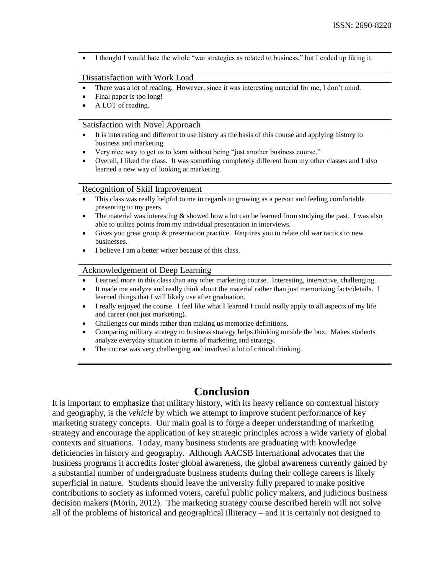I thought I would hate the whole "war strategies as related to business," but I ended up liking it.

#### Dissatisfaction with Work Load

- There was a lot of reading. However, since it was interesting material for me, I don't mind.
- Final paper is too long!
- A LOT of reading.

#### Satisfaction with Novel Approach

- It is interesting and different to use history as the basis of this course and applying history to business and marketing.
- Very nice way to get us to learn without being "just another business course."
- Overall, I liked the class. It was something completely different from my other classes and I also learned a new way of looking at marketing.

#### Recognition of Skill Improvement

- This class was really helpful to me in regards to growing as a person and feeling comfortable presenting to my peers.
- The material was interesting  $\&$  showed how a lot can be learned from studying the past. I was also able to utilize points from my individual presentation in interviews.
- Gives you great group & presentation practice. Requires you to relate old war tactics to new businesses.
- I believe I am a better writer because of this class.

#### Acknowledgement of Deep Learning

- Learned more in this class than any other marketing course. Interesting, interactive, challenging.
- It made me analyze and really think about the material rather than just memorizing facts/details. I learned things that I will likely use after graduation.
- I really enjoyed the course. I feel like what I learned I could really apply to all aspects of my life and career (not just marketing).
- Challenges our minds rather than making us memorize definitions.
- Comparing military strategy to business strategy helps thinking outside the box. Makes students analyze everyday situation in terms of marketing and strategy.
- The course was very challenging and involved a lot of critical thinking.

## **Conclusion**

It is important to emphasize that military history, with its heavy reliance on contextual history and geography, is the *vehicle* by which we attempt to improve student performance of key marketing strategy concepts. Our main goal is to forge a deeper understanding of marketing strategy and encourage the application of key strategic principles across a wide variety of global contexts and situations. Today, many business students are graduating with knowledge deficiencies in history and geography. Although AACSB International advocates that the business programs it accredits foster global awareness, the global awareness currently gained by a substantial number of undergraduate business students during their college careers is likely superficial in nature. Students should leave the university fully prepared to make positive contributions to society as informed voters, careful public policy makers, and judicious business decision makers (Morin, 2012). The marketing strategy course described herein will not solve all of the problems of historical and geographical illiteracy – and it is certainly not designed to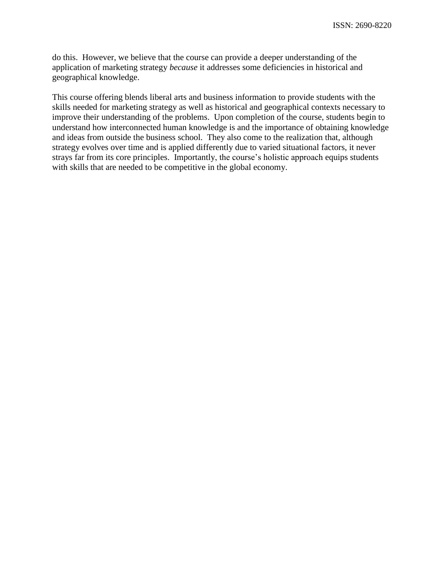do this. However, we believe that the course can provide a deeper understanding of the application of marketing strategy *because* it addresses some deficiencies in historical and geographical knowledge.

This course offering blends liberal arts and business information to provide students with the skills needed for marketing strategy as well as historical and geographical contexts necessary to improve their understanding of the problems. Upon completion of the course, students begin to understand how interconnected human knowledge is and the importance of obtaining knowledge and ideas from outside the business school. They also come to the realization that, although strategy evolves over time and is applied differently due to varied situational factors, it never strays far from its core principles. Importantly, the course's holistic approach equips students with skills that are needed to be competitive in the global economy.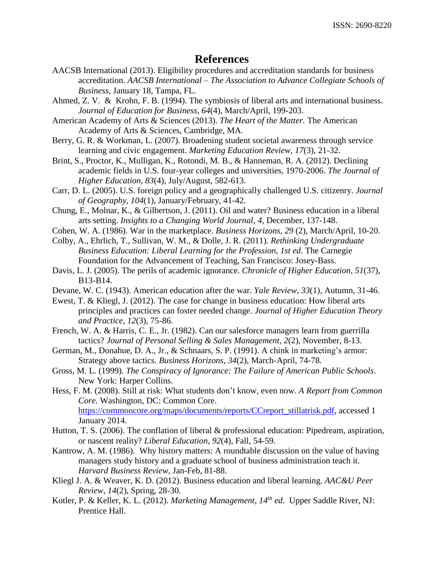## **References**

- AACSB International (2013). Eligibility procedures and accreditation standards for business accreditation. *AACSB International – The Association to Advance Collegiate Schools of Business*, January 18, Tampa, FL.
- Ahmed, Z. V. & Krohn, F. B. (1994). The symbiosis of liberal arts and international business. *Journal of Education for Business*, *64*(4), March/April, 199-203.
- American Academy of Arts & Sciences (2013). *The Heart of the Matter.* The American Academy of Arts & Sciences, Cambridge, MA.
- Berry, G. R. & Workman, L. (2007). Broadening student societal awareness through service learning and civic engagement. *Marketing Education Review*, *17*(3), 21-32.
- Brint, S., Proctor, K., Mulligan, K., Rotondi, M. B., & Hanneman, R. A. (2012). Declining academic fields in U.S. four-year colleges and universities, 1970-2006. *The Journal of Higher Education*, *83*(4), July/August, 582-613.
- Carr, D. L. (2005). U.S. foreign policy and a geographically challenged U.S. citizenry. *Journal of Geography*, *104*(1), January/February, 41-42.
- Chung, E., Molnar, K., & Gilbertson, J. (2011). Oil and water? Business education in a liberal arts setting. *Insights to a Changing World Journal, 4,* December, 137-148.
- Cohen, W. A. (1986). War in the marketplace. *Business Horizons*, *29* (2), March/April, 10-20.
- Colby, A., Ehrlich, T., Sullivan, W. M., & Dolle, J. R. (2011). *Rethinking Undergraduate Business Education: Liberal Learning for the Profession, 1st ed*. The Carnegie Foundation for the Advancement of Teaching, San Francisco: Josey-Bass.
- Davis, L. J. (2005). The perils of academic ignorance. *Chronicle of Higher Education*, *51*(37), B13-B14.
- Devane, W. C. (1943). American education after the war. *Yale Review, 33*(1), Autumn, 31-46.
- Ewest, T. & Kliegl, J. (2012). The case for change in business education: How liberal arts principles and practices can foster needed change. *Journal of Higher Education Theory and Practice*, *12*(3), 75-86.
- French, W. A. & Harris, C. E., Jr. (1982). Can our salesforce managers learn from guerrilla tactics? *Journal of Personal Selling & Sales Management*, *2*(2), November, 8-13.
- German, M., Donahue, D. A., Jr., & Schnaars, S. P. (1991). A chink in marketing's armor: Strategy above tactics. *Business Horizons*, *34*(2), March-April, 74-78.
- Gross, M. L. (1999). *The Conspiracy of Ignorance: The Failure of American Public Schools*. New York: Harper Collins.
- Hess, F. M. (2008). Still at risk: What students don't know, even now. *A Report from Common Core.* Washington, DC: Common Core. [https://commoncore.org/maps/documents/reports/CCreport\\_stillatrisk.pdf,](https://commoncore.org/maps/documents/reports/CCreport_stillatrisk.pdf) accessed 1 January 2014.
- Hutton, T. S. (2006). The conflation of liberal & professional education: Pipedream, aspiration, or nascent reality? *Liberal Education*, *92*(4), Fall, 54-59.
- Kantrow, A. M. (1986). Why history matters: A roundtable discussion on the value of having managers study history and a graduate school of business administration teach it. *Harvard Business Review*, Jan-Feb, 81-88.
- Kliegl J. A. & Weaver, K. D. (2012). Business education and liberal learning. *AAC&U Peer Review*, *14*(2), Spring, 28-30.
- Kotler, P. & Keller, K. L. (2012). *Marketing Management*, *14th ed*. Upper Saddle River, NJ: Prentice Hall.